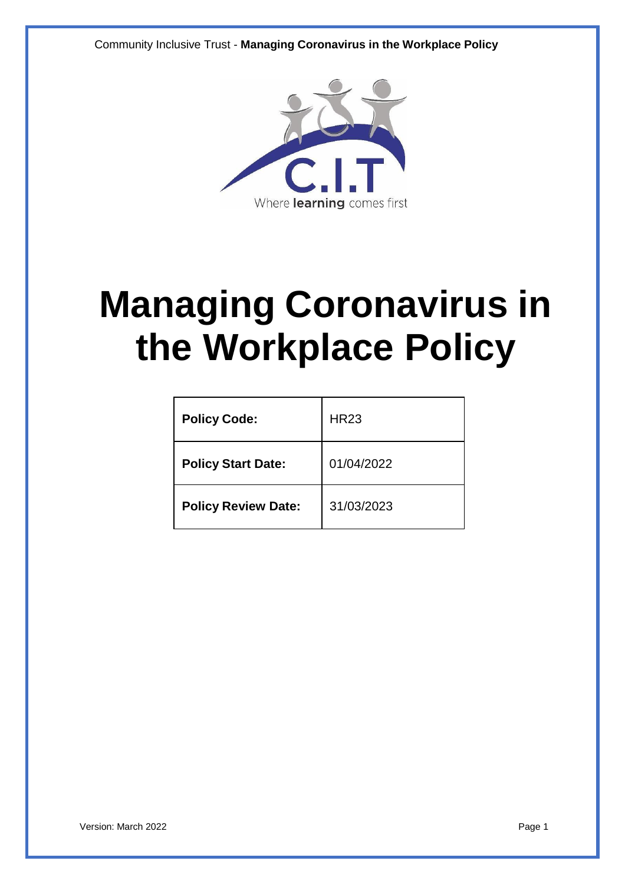Community Inclusive Trust - **Managing Coronavirus in the Workplace Policy**



# **Managing Coronavirus in the Workplace Policy**

| <b>Policy Code:</b>        | <b>HR23</b> |
|----------------------------|-------------|
| <b>Policy Start Date:</b>  | 01/04/2022  |
| <b>Policy Review Date:</b> | 31/03/2023  |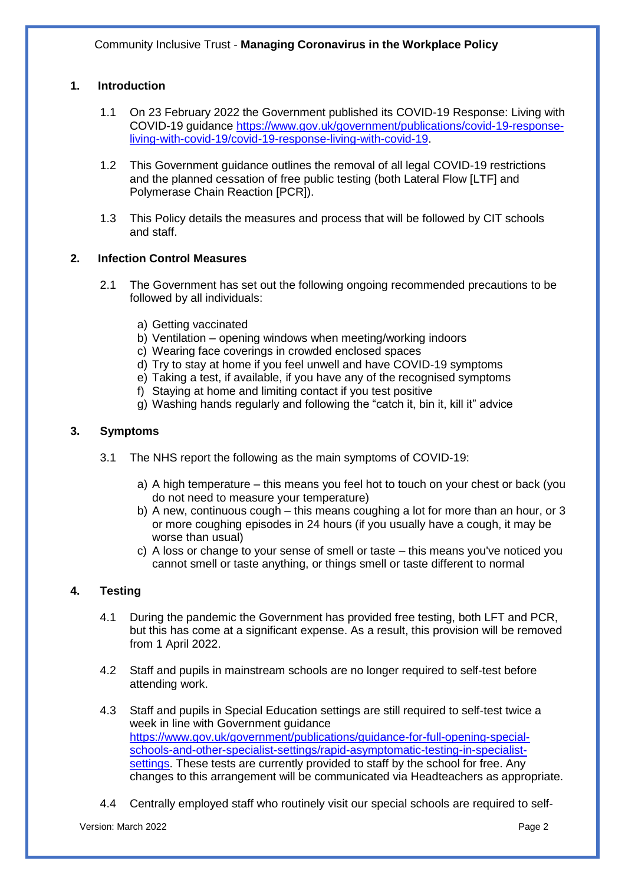# **1. Introduction**

- 1.1 On 23 February 2022 the Government published its COVID-19 Response: Living with COVID-19 guidance [https://www.gov.uk/government/publications/covid-19-response](https://www.gov.uk/government/publications/covid-19-response-living-with-covid-19/covid-19-response-living-with-covid-19)[living-with-covid-19/covid-19-response-living-with-covid-19.](https://www.gov.uk/government/publications/covid-19-response-living-with-covid-19/covid-19-response-living-with-covid-19)
- 1.2 This Government guidance outlines the removal of all legal COVID-19 restrictions and the planned cessation of free public testing (both Lateral Flow [LTF] and Polymerase Chain Reaction [PCR]).
- 1.3 This Policy details the measures and process that will be followed by CIT schools and staff.

## **2. Infection Control Measures**

- 2.1 The Government has set out the following ongoing recommended precautions to be followed by all individuals:
	- a) Getting vaccinated
	- b) Ventilation opening windows when meeting/working indoors
	- c) Wearing face coverings in crowded enclosed spaces
	- d) Try to stay at home if you feel unwell and have COVID-19 symptoms
	- e) Taking a test, if available, if you have any of the recognised symptoms
	- f) Staying at home and limiting contact if you test positive
	- g) Washing hands regularly and following the "catch it, bin it, kill it" advice

#### **3. Symptoms**

- 3.1 The NHS report the following as the main symptoms of COVID-19:
	- a) A high temperature this means you feel hot to touch on your chest or back (you do not need to measure your temperature)
	- b) A new, continuous cough this means coughing a lot for more than an hour, or 3 or more coughing episodes in 24 hours (if you usually have a cough, it may be worse than usual)
	- c) A loss or change to your sense of smell or taste this means you've noticed you cannot smell or taste anything, or things smell or taste different to normal

## **4. Testing**

- 4.1 During the pandemic the Government has provided free testing, both LFT and PCR, but this has come at a significant expense. As a result, this provision will be removed from 1 April 2022.
- 4.2 Staff and pupils in mainstream schools are no longer required to self-test before attending work.
- 4.3 Staff and pupils in Special Education settings are still required to self-test twice a week in line with Government guidance [https://www.gov.uk/government/publications/guidance-for-full-opening-special](https://www.gov.uk/government/publications/guidance-for-full-opening-special-schools-and-other-specialist-settings/rapid-asymptomatic-testing-in-specialist-settings)[schools-and-other-specialist-settings/rapid-asymptomatic-testing-in-specialist](https://www.gov.uk/government/publications/guidance-for-full-opening-special-schools-and-other-specialist-settings/rapid-asymptomatic-testing-in-specialist-settings)[settings.](https://www.gov.uk/government/publications/guidance-for-full-opening-special-schools-and-other-specialist-settings/rapid-asymptomatic-testing-in-specialist-settings) These tests are currently provided to staff by the school for free. Any changes to this arrangement will be communicated via Headteachers as appropriate.
- 4.4 Centrally employed staff who routinely visit our special schools are required to self-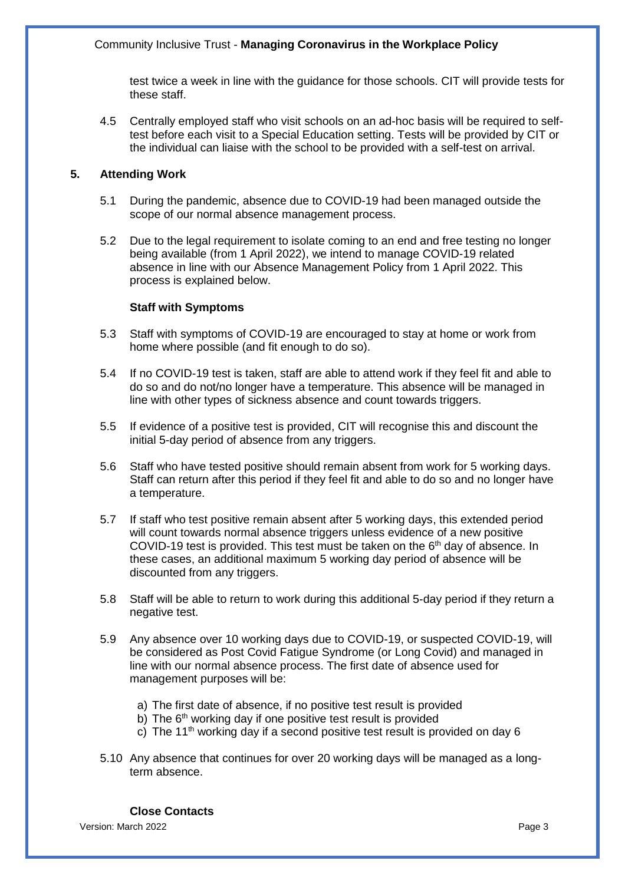## Community Inclusive Trust - **Managing Coronavirus in the Workplace Policy**

test twice a week in line with the guidance for those schools. CIT will provide tests for these staff.

4.5 Centrally employed staff who visit schools on an ad-hoc basis will be required to selftest before each visit to a Special Education setting. Tests will be provided by CIT or the individual can liaise with the school to be provided with a self-test on arrival.

## **5. Attending Work**

- 5.1 During the pandemic, absence due to COVID-19 had been managed outside the scope of our normal absence management process.
- 5.2 Due to the legal requirement to isolate coming to an end and free testing no longer being available (from 1 April 2022), we intend to manage COVID-19 related absence in line with our Absence Management Policy from 1 April 2022. This process is explained below.

# **Staff with Symptoms**

- 5.3 Staff with symptoms of COVID-19 are encouraged to stay at home or work from home where possible (and fit enough to do so).
- 5.4 If no COVID-19 test is taken, staff are able to attend work if they feel fit and able to do so and do not/no longer have a temperature. This absence will be managed in line with other types of sickness absence and count towards triggers.
- 5.5 If evidence of a positive test is provided, CIT will recognise this and discount the initial 5-day period of absence from any triggers.
- 5.6 Staff who have tested positive should remain absent from work for 5 working days. Staff can return after this period if they feel fit and able to do so and no longer have a temperature.
- 5.7 If staff who test positive remain absent after 5 working days, this extended period will count towards normal absence triggers unless evidence of a new positive COVID-19 test is provided. This test must be taken on the  $6<sup>th</sup>$  day of absence. In these cases, an additional maximum 5 working day period of absence will be discounted from any triggers.
- 5.8 Staff will be able to return to work during this additional 5-day period if they return a negative test.
- 5.9 Any absence over 10 working days due to COVID-19, or suspected COVID-19, will be considered as Post Covid Fatigue Syndrome (or Long Covid) and managed in line with our normal absence process. The first date of absence used for management purposes will be:
	- a) The first date of absence, if no positive test result is provided
	- b) The  $6<sup>th</sup>$  working day if one positive test result is provided
	- c) The 11<sup>th</sup> working day if a second positive test result is provided on day 6
- 5.10 Any absence that continues for over 20 working days will be managed as a longterm absence.

Version: March 2022 **Page 3 Close Contacts**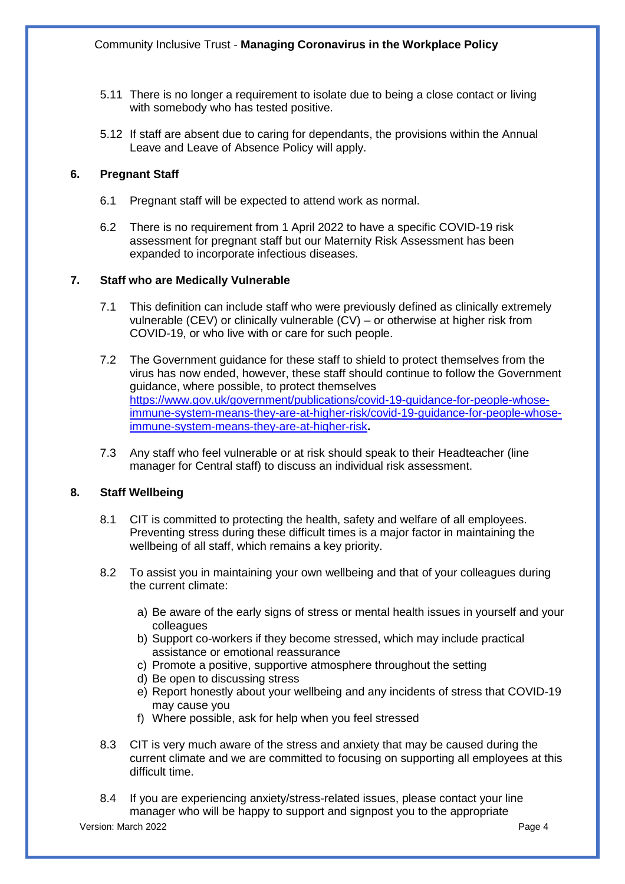- 5.11 There is no longer a requirement to isolate due to being a close contact or living with somebody who has tested positive.
- 5.12 If staff are absent due to caring for dependants, the provisions within the Annual Leave and Leave of Absence Policy will apply.

# **6. Pregnant Staff**

- 6.1 Pregnant staff will be expected to attend work as normal.
- 6.2 There is no requirement from 1 April 2022 to have a specific COVID-19 risk assessment for pregnant staff but our Maternity Risk Assessment has been expanded to incorporate infectious diseases.

## **7. Staff who are Medically Vulnerable**

- 7.1 This definition can include staff who were previously defined as clinically extremely vulnerable (CEV) or clinically vulnerable (CV) – or otherwise at higher risk from COVID-19, or who live with or care for such people.
- 7.2 The Government guidance for these staff to shield to protect themselves from the virus has now ended, however, these staff should continue to follow the Government guidance, where possible, to protect themselves [https://www.gov.uk/government/publications/covid-19-guidance-for-people-whose](https://www.gov.uk/government/publications/covid-19-guidance-for-people-whose-immune-system-means-they-are-at-higher-risk/covid-19-guidance-for-people-whose-immune-system-means-they-are-at-higher-risk)[immune-system-means-they-are-at-higher-risk/covid-19-guidance-for-people-whose](https://www.gov.uk/government/publications/covid-19-guidance-for-people-whose-immune-system-means-they-are-at-higher-risk/covid-19-guidance-for-people-whose-immune-system-means-they-are-at-higher-risk)[immune-system-means-they-are-at-higher-risk](https://www.gov.uk/government/publications/covid-19-guidance-for-people-whose-immune-system-means-they-are-at-higher-risk/covid-19-guidance-for-people-whose-immune-system-means-they-are-at-higher-risk)**.**
- 7.3 Any staff who feel vulnerable or at risk should speak to their Headteacher (line manager for Central staff) to discuss an individual risk assessment.

## **8. Staff Wellbeing**

- 8.1 CIT is committed to protecting the health, safety and welfare of all employees. Preventing stress during these difficult times is a major factor in maintaining the wellbeing of all staff, which remains a key priority.
- 8.2 To assist you in maintaining your own wellbeing and that of your colleagues during the current climate:
	- a) Be aware of the early signs of stress or mental health issues in yourself and your colleagues
	- b) Support co-workers if they become stressed, which may include practical assistance or emotional reassurance
	- c) Promote a positive, supportive atmosphere throughout the setting
	- d) Be open to discussing stress
	- e) Report honestly about your wellbeing and any incidents of stress that COVID-19 may cause you
	- f) Where possible, ask for help when you feel stressed
- 8.3 CIT is very much aware of the stress and anxiety that may be caused during the current climate and we are committed to focusing on supporting all employees at this difficult time.
- 8.4 If you are experiencing anxiety/stress-related issues, please contact your line manager who will be happy to support and signpost you to the appropriate

Version: March 2022 **Page 4**